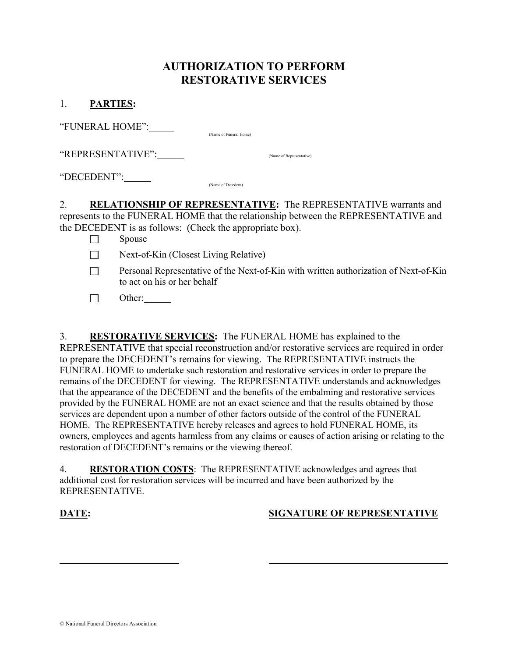## AUTHORIZATION TO PERFORM RESTORATIVE SERVICES

| <b>PARTIES:</b> |  |
|-----------------|--|
|-----------------|--|

"FUNERAL HOME": (Name of Funeral Home)

"REPRESENTATIVE": (Name of Representative)

"DECEDENT": (Name of Decedent)

2. RELATIONSHIP OF REPRESENTATIVE: The REPRESENTATIVE warrants and represents to the FUNERAL HOME that the relationship between the REPRESENTATIVE and the DECEDENT is as follows: (Check the appropriate box).

- $\square$  Spouse
- Next-of-Kin (Closest Living Relative)
- $\Box$  Personal Representative of the Next-of-Kin with written authorization of Next-of-Kin to act on his or her behalf
- $\Box$  Other:

3. RESTORATIVE SERVICES: The FUNERAL HOME has explained to the REPRESENTATIVE that special reconstruction and/or restorative services are required in order to prepare the DECEDENT's remains for viewing. The REPRESENTATIVE instructs the FUNERAL HOME to undertake such restoration and restorative services in order to prepare the remains of the DECEDENT for viewing. The REPRESENTATIVE understands and acknowledges that the appearance of the DECEDENT and the benefits of the embalming and restorative services provided by the FUNERAL HOME are not an exact science and that the results obtained by those services are dependent upon a number of other factors outside of the control of the FUNERAL HOME. The REPRESENTATIVE hereby releases and agrees to hold FUNERAL HOME, its owners, employees and agents harmless from any claims or causes of action arising or relating to the restoration of DECEDENT's remains or the viewing thereof.

4. RESTORATION COSTS: The REPRESENTATIVE acknowledges and agrees that additional cost for restoration services will be incurred and have been authorized by the REPRESENTATIVE.

l

## DATE: SIGNATURE OF REPRESENTATIVE